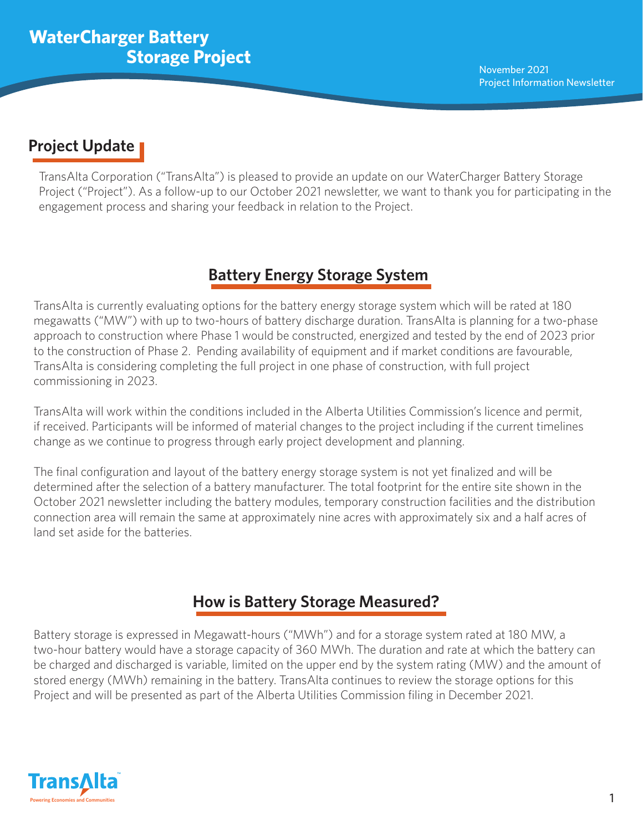# **Project Update**

TransAlta Corporation ("TransAlta") is pleased to provide an update on our WaterCharger Battery Storage Project ("Project"). As a follow-up to our October 2021 newsletter, we want to thank you for participating in the engagement process and sharing your feedback in relation to the Project.

# **Battery Energy Storage System**

TransAlta is currently evaluating options for the battery energy storage system which will be rated at 180 megawatts ("MW") with up to two-hours of battery discharge duration. TransAlta is planning for a two-phase approach to construction where Phase 1 would be constructed, energized and tested by the end of 2023 prior to the construction of Phase 2. Pending availability of equipment and if market conditions are favourable, TransAlta is considering completing the full project in one phase of construction, with full project commissioning in 2023.

TransAlta will work within the conditions included in the Alberta Utilities Commission's licence and permit, if received. Participants will be informed of material changes to the project including if the current timelines change as we continue to progress through early project development and planning.

The final configuration and layout of the battery energy storage system is not yet finalized and will be determined after the selection of a battery manufacturer. The total footprint for the entire site shown in the October 2021 newsletter including the battery modules, temporary construction facilities and the distribution connection area will remain the same at approximately nine acres with approximately six and a half acres of land set aside for the batteries.

# **How is Battery Storage Measured?**

Battery storage is expressed in Megawatt-hours ("MWh") and for a storage system rated at 180 MW, a two-hour battery would have a storage capacity of 360 MWh. The duration and rate at which the battery can be charged and discharged is variable, limited on the upper end by the system rating (MW) and the amount of stored energy (MWh) remaining in the battery. TransAlta continues to review the storage options for this Project and will be presented as part of the Alberta Utilities Commission filing in December 2021.

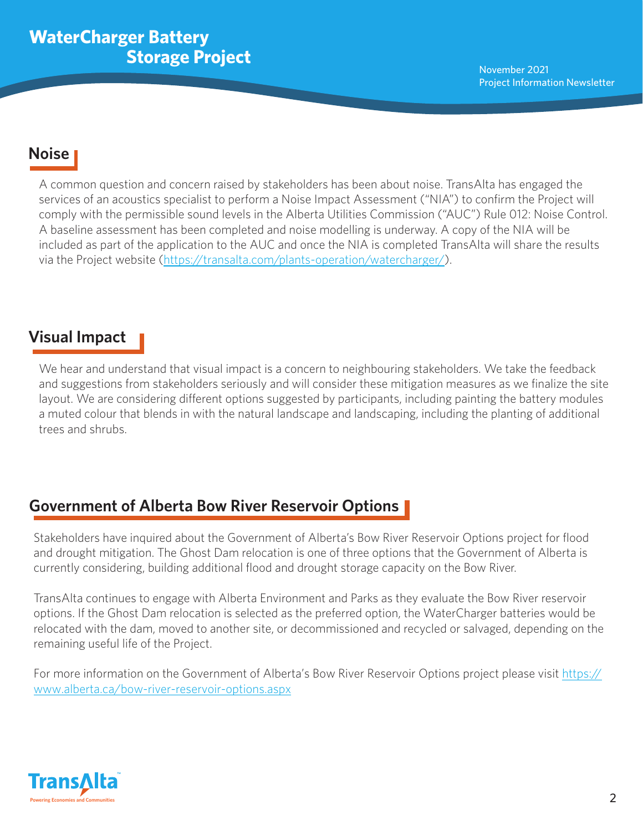## **Noise**

A common question and concern raised by stakeholders has been about noise. TransAlta has engaged the services of an acoustics specialist to perform a Noise Impact Assessment ("NIA") to confirm the Project will comply with the permissible sound levels in the Alberta Utilities Commission ("AUC") Rule 012: Noise Control. A baseline assessment has been completed and noise modelling is underway. A copy of the NIA will be included as part of the application to the AUC and once the NIA is completed TransAlta will share the results via the Project website ([https://transalta.com/plants-operation/watercharger/](https://can01.safelinks.protection.outlook.com/?url=https%3A%2F%2Fwww.alberta.ca%2Fbow-river-reservoir-options.aspx&data=04%7C01%7CYoungli_You%40transalta.com%7Ccb20bf184d7d492c8d2608d9a9f47e47%7Caff3442b5f55409cbe77da97b366435a%7C0%7C0%7C637727689851244961%7CUnknown%7CTWFpbGZsb3d8eyJWIjoiMC4wLjAwMDAiLCJQIjoiV2luMzIiLCJBTiI6Ik1haWwiLCJXVCI6Mn0%3D%7C3000&sdata=slucc4zKR8ntnWUTvpYKXzVao2JDX7vFGDt4uz5RCXw%3D&reserved=0)).

### **Visual Impact**

We hear and understand that visual impact is a concern to neighbouring stakeholders. We take the feedback and suggestions from stakeholders seriously and will consider these mitigation measures as we finalize the site layout. We are considering different options suggested by participants, including painting the battery modules a muted colour that blends in with the natural landscape and landscaping, including the planting of additional trees and shrubs.

## **Government of Alberta Bow River Reservoir Options**

Stakeholders have inquired about the Government of Alberta's Bow River Reservoir Options project for flood and drought mitigation. The Ghost Dam relocation is one of three options that the Government of Alberta is currently considering, building additional flood and drought storage capacity on the Bow River.

TransAlta continues to engage with Alberta Environment and Parks as they evaluate the Bow River reservoir options. If the Ghost Dam relocation is selected as the preferred option, the WaterCharger batteries would be relocated with the dam, moved to another site, or decommissioned and recycled or salvaged, depending on the remaining useful life of the Project.

[For more information on the Government of Alberta's Bow River Reservoir Options project please visit https://](https://can01.safelinks.protection.outlook.com/?url=https%3A%2F%2Fwww.alberta.ca%2Fbow-river-reservoir-options.aspx&data=04%7C01%7CYoungli_You%40transalta.com%7Ccb20bf184d7d492c8d2608d9a9f47e47%7Caff3442b5f55409cbe77da97b366435a%7C0%7C0%7C637727689851244961%7CUnknown%7CTWFpbGZsb3d8eyJWIjoiMC4wLjAwMDAiLCJQIjoiV2luMzIiLCJBTiI6Ik1haWwiLCJXVCI6Mn0%3D%7C3000&sdata=slucc4zKR8ntnWUTvpYKXzVao2JDX7vFGDt4uz5RCXw%3D&reserved=0) www.alberta.ca/bow-river-reservoir-options.aspx